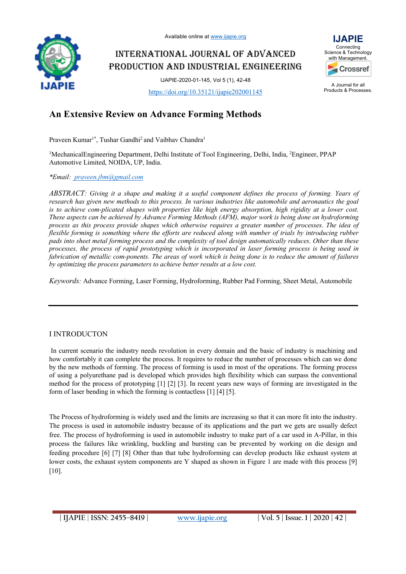Available online at www.ijapie.org

INTERNATIONAL JOURNAL OF ADVANCED PRODUCTION AND INDUSTRIAL ENGINEERING

IJAPIE-2020-01-145, Vol 5 (1), 42-48

https://doi.org/10.35121/ijapie202001145



Products & Processes.

**IJAPIE** 

# **An Extensive Review on Advance Forming Methods**

Praveen Kumar<sup>1\*</sup>, Tushar Gandhi<sup>2</sup> and Vaibhav Chandra<sup>1</sup>

<sup>1</sup>MechanicalEngineering Department, Delhi Institute of Tool Engineering, Delhi, India, <sup>2</sup>Engineer, PPAP Automotive Limited, NOIDA, UP, India.

*\*Email: praveen.jbm@gmail.com*

*ABSTRACT: Giving it a shape and making it a useful component defines the process of forming. Years of research has given new methods to this process. In various industries like automobile and aeronautics the goal is to achieve com-plicated shapes with properties like high energy absorption, high rigidity at a lower cost. These aspects can be achieved by Advance Forming Methods (AFM), major work is being done on hydroforming process as this process provide shapes which otherwise requires a greater number of processes. The idea of flexible forming is something where the efforts are reduced along with number of trials by introducing rubber pads into sheet metal forming process and the complexity of tool design automatically reduces. Other than these processes, the process of rapid prototyping which is incorporated in laser forming process is being used in fabrication of metallic com-ponents. The areas of work which is being done is to reduce the amount of failures by optimizing the process parameters to achieve better results at a low cost.*

*Keywords:* Advance Forming, Laser Forming, Hydroforming, Rubber Pad Forming, Sheet Metal, Automobile

## I INTRODUCTON

In current scenario the industry needs revolution in every domain and the basic of industry is machining and how comfortably it can complete the process. It requires to reduce the number of processes which can we done by the new methods of forming. The process of forming is used in most of the operations. The forming process of using a polyurethane pad is developed which provides high flexibility which can surpass the conventional method for the process of prototyping [1] [2] [3]. In recent years new ways of forming are investigated in the form of laser bending in which the forming is contactless [1] [4] [5].

The Process of hydroforming is widely used and the limits are increasing so that it can more fit into the industry. The process is used in automobile industry because of its applications and the part we gets are usually defect free. The process of hydroforming is used in automobile industry to make part of a car used in A-Pillar, in this process the failures like wrinkling, buckling and bursting can be prevented by working on die design and feeding procedure [6] [7] [8] Other than that tube hydroforming can develop products like exhaust system at lower costs, the exhaust system components are Y shaped as shown in Figure 1 are made with this process [9] [10].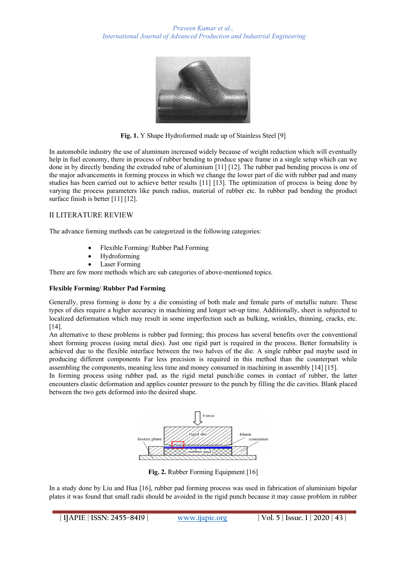

**Fig. 1.** Y Shape Hydroformed made up of Stainless Steel [9]

In automobile industry the use of aluminum increased widely because of weight reduction which will eventually help in fuel economy, there in process of rubber bending to produce space frame in a single setup which can we done in by directly bending the extruded tube of aluminium [11] [12]. The rubber pad bending process is one of the major advancements in forming process in which we change the lower part of die with rubber pad and many studies has been carried out to achieve better results [11] [13]. The optimization of process is being done by varying the process parameters like punch radius, material of rubber etc. In rubber pad bending the product surface finish is better [11] [12].

### II LITERATURE REVIEW

The advance forming methods can be categorized in the following categories:

- Flexible Forming/ Rubber Pad Forming
- Hydroforming
- Laser Forming

There are few more methods which are sub categories of above-mentioned topics.

#### **Flexible Forming/ Rubber Pad Forming**

Generally, press forming is done by a die consisting of both male and female parts of metallic nature. These types of dies require a higher accuracy in machining and longer set-up time. Additionally, sheet is subjected to localized deformation which may result in some imperfection such as bulking, wrinkles, thinning, cracks, etc. [14].

An alternative to these problems is rubber pad forming; this process has several benefits over the conventional sheet forming process (using metal dies). Just one rigid part is required in the process. Better formability is achieved due to the flexible interface between the two halves of the die. A single rubber pad maybe used in producing different components Far less precision is required in this method than the counterpart while assembling the components, meaning less time and money consumed in machining in assembly [14] [15].

In forming process using rubber pad, as the rigid metal punch/die comes in contact of rubber, the latter encounters elastic deformation and applies counter pressure to the punch by filling the die cavities. Blank placed between the two gets deformed into the desired shape.



**Fig. 2.** Rubber Forming Equipment [16]

In a study done by Liu and Hua [16], rubber pad forming process was used in fabrication of aluminium bipolar plates it was found that small radii should be avoided in the rigid punch because it may cause problem in rubber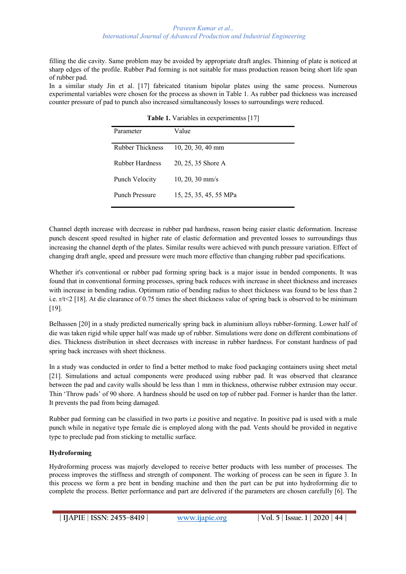#### *Praveen Kumar et al., International Journal of Advanced Production and Industrial Engineering*

filling the die cavity. Same problem may be avoided by appropriate draft angles. Thinning of plate is noticed at sharp edges of the profile. Rubber Pad forming is not suitable for mass production reason being short life span of rubber pad.

In a similar study Jin et al. [17] fabricated titanium bipolar plates using the same process. Numerous experimental variables were chosen for the process as shown in Table 1. As rubber pad thickness was increased counter pressure of pad to punch also increased simultaneously losses to surroundings were reduced.

| <b>Table 1.</b> Valiables in ecoperationiss $ 17 $ |                           |
|----------------------------------------------------|---------------------------|
| Parameter                                          | Value                     |
| Rubber Thickness                                   | $10, 20, 30, 40$ mm       |
| Rubber Hardness                                    | 20, 25, 35 Shore A        |
| Punch Velocity                                     | $10, 20, 30 \text{ mm/s}$ |
| Punch Pressure                                     | 15, 25, 35, 45, 55 MPa    |

**Table 1.** Variables in eexperimentss [17]

Channel depth increase with decrease in rubber pad hardness, reason being easier elastic deformation. Increase punch descent speed resulted in higher rate of elastic deformation and prevented losses to surroundings thus increasing the channel depth of the plates. Similar results were achieved with punch pressure variation. Effect of changing draft angle, speed and pressure were much more effective than changing rubber pad specifications.

Whether it's conventional or rubber pad forming spring back is a major issue in bended components. It was found that in conventional forming processes, spring back reduces with increase in sheet thickness and increases with increase in bending radius. Optimum ratio of bending radius to sheet thickness was found to be less than 2 i.e. r/t<2 [18]. At die clearance of 0.75 times the sheet thickness value of spring back is observed to be minimum [19].

Belhassen [20] in a study predicted numerically spring back in aluminium alloys rubber-forming. Lower half of die was taken rigid while upper half was made up of rubber. Simulations were done on different combinations of dies. Thickness distribution in sheet decreases with increase in rubber hardness. For constant hardness of pad spring back increases with sheet thickness.

In a study was conducted in order to find a better method to make food packaging containers using sheet metal [21]. Simulations and actual components were produced using rubber pad. It was observed that clearance between the pad and cavity walls should be less than 1 mm in thickness, otherwise rubber extrusion may occur. Thin 'Throw pads' of 90 shore. A hardness should be used on top of rubber pad. Former is harder than the latter. It prevents the pad from being damaged.

Rubber pad forming can be classified in two parts i.e positive and negative. In positive pad is used with a male punch while in negative type female die is employed along with the pad. Vents should be provided in negative type to preclude pad from sticking to metallic surface.

### **Hydroforming**

Hydroforming process was majorly developed to receive better products with less number of processes. The process improves the stiffness and strength of component. The working of process can be seen in figure 3. In this process we form a pre bent in bending machine and then the part can be put into hydroforming die to complete the process. Better performance and part are delivered if the parameters are chosen carefully [6]. The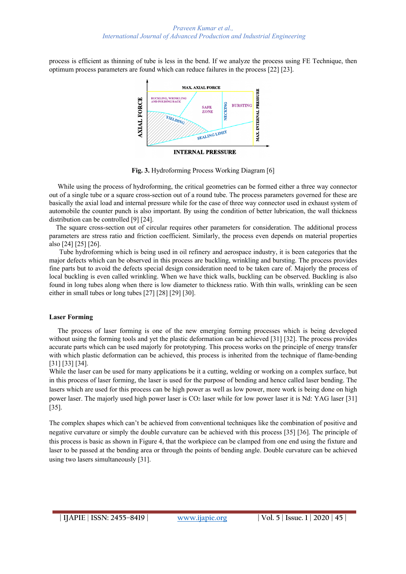process is efficient as thinning of tube is less in the bend. If we analyze the process using FE Technique, then optimum process parameters are found which can reduce failures in the process [22] [23].



**Fig. 3.** Hydroforming Process Working Diagram [6]

 While using the process of hydroforming, the critical geometries can be formed either a three way connector out of a single tube or a square cross-section out of a round tube. The process parameters governed for these are basically the axial load and internal pressure while for the case of three way connector used in exhaust system of automobile the counter punch is also important. By using the condition of better lubrication, the wall thickness distribution can be controlled [9] [24].

 The square cross-section out of circular requires other parameters for consideration. The additional process parameters are stress ratio and friction coefficient. Similarly, the process even depends on material properties also [24] [25] [26].

 Tube hydroforming which is being used in oil refinery and aerospace industry, it is been categories that the major defects which can be observed in this process are buckling, wrinkling and bursting. The process provides fine parts but to avoid the defects special design consideration need to be taken care of. Majorly the process of local buckling is even called wrinkling. When we have thick walls, buckling can be observed. Buckling is also found in long tubes along when there is low diameter to thickness ratio. With thin walls, wrinkling can be seen either in small tubes or long tubes [27] [28] [29] [30].

### **Laser Forming**

 The process of laser forming is one of the new emerging forming processes which is being developed without using the forming tools and yet the plastic deformation can be achieved [31] [32]. The process provides accurate parts which can be used majorly for prototyping. This process works on the principle of energy transfer with which plastic deformation can be achieved, this process is inherited from the technique of flame-bending [31] [33] [34].

While the laser can be used for many applications be it a cutting, welding or working on a complex surface, but in this process of laser forming, the laser is used for the purpose of bending and hence called laser bending. The lasers which are used for this process can be high power as well as low power, more work is being done on high power laser. The majorly used high power laser is CO2 laser while for low power laser it is Nd: YAG laser [31] [35].

The complex shapes which can't be achieved from conventional techniques like the combination of positive and negative curvature or simply the double curvature can be achieved with this process [35] [36]. The principle of this process is basic as shown in Figure 4, that the workpiece can be clamped from one end using the fixture and laser to be passed at the bending area or through the points of bending angle. Double curvature can be achieved using two lasers simultaneously [31].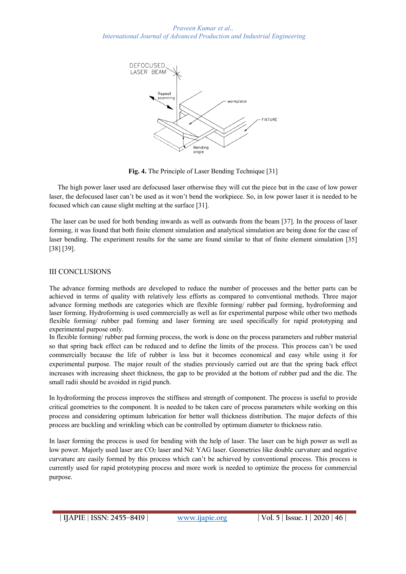

**Fig. 4.** The Principle of Laser Bending Technique [31]

 The high power laser used are defocused laser otherwise they will cut the piece but in the case of low power laser, the defocused laser can't be used as it won't bend the workpiece. So, in low power laser it is needed to be focused which can cause slight melting at the surface [31].

The laser can be used for both bending inwards as well as outwards from the beam [37]. In the process of laser forming, it was found that both finite element simulation and analytical simulation are being done for the case of laser bending. The experiment results for the same are found similar to that of finite element simulation [35] [38] [39].

## III CONCLUSIONS

The advance forming methods are developed to reduce the number of processes and the better parts can be achieved in terms of quality with relatively less efforts as compared to conventional methods. Three major advance forming methods are categories which are flexible forming/ rubber pad forming, hydroforming and laser forming. Hydroforming is used commercially as well as for experimental purpose while other two methods flexible forming/ rubber pad forming and laser forming are used specifically for rapid prototyping and experimental purpose only.

In flexible forming/ rubber pad forming process, the work is done on the process parameters and rubber material so that spring back effect can be reduced and to define the limits of the process. This process can't be used commercially because the life of rubber is less but it becomes economical and easy while using it for experimental purpose. The major result of the studies previously carried out are that the spring back effect increases with increasing sheet thickness, the gap to be provided at the bottom of rubber pad and the die. The small radii should be avoided in rigid punch.

In hydroforming the process improves the stiffness and strength of component. The process is useful to provide critical geometries to the component. It is needed to be taken care of process parameters while working on this process and considering optimum lubrication for better wall thickness distribution. The major defects of this process are buckling and wrinkling which can be controlled by optimum diameter to thickness ratio.

In laser forming the process is used for bending with the help of laser. The laser can be high power as well as low power. Majorly used laser are CO<sub>2</sub> laser and Nd: YAG laser. Geometries like double curvature and negative curvature are easily formed by this process which can't be achieved by conventional process. This process is currently used for rapid prototyping process and more work is needed to optimize the process for commercial purpose.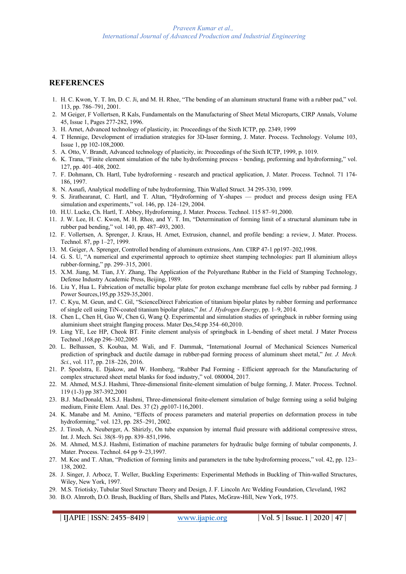# **REFERENCES**

- 1. H. C. Kwon, Y. T. Im, D. C. Ji, and M. H. Rhee, "The bending of an aluminum structural frame with a rubber pad," vol. 113, pp. 786–791, 2001.
- 2. M Geiger, F Vollertsen, R Kals, Fundamentals on the Manufacturing of Sheet Metal Microparts, CIRP Annals, Volume 45, Issue 1, Pages 277-282, 1996.
- 3. H. Arnet, Advanced technology of plasticity, in: Proceedings of the Sixth ICTP, pp. 2349, 1999
- 4. T Hennige, Development of irradiation strategies for 3D-laser forming, J. Mater. Process. Technology. Volume 103, Issue 1, pp 102-108,2000.
- 5. A. Otto, V. Brandt, Advanced technology of plasticity, in: Proceedings of the Sixth ICTP, 1999, p. 1019.
- 6. K. Trana, "Finite element simulation of the tube hydroforming process bending, preforming and hydroforming," vol. 127, pp. 401–408, 2002.
- 7. F. Dohmann, Ch. Hartl, Tube hydroforming research and practical application, J. Mater. Process. Technol. 71 174- 186, 1997.
- 8. N. Asnafi, Analytical modelling of tube hydroforming, Thin Walled Struct. 34 295-330, 1999.
- 9. S. Jirathearanat, C. Hartl, and T. Altan, "Hydroforming of Y-shapes product and process design using FEA simulation and experiments," vol. 146, pp. 124–129, 2004.
- 10. H.U. Lucke, Ch. Hartl, T. Abbey, Hydroforming, J. Mater. Process. Technol. 115 87–91,2000.
- 11. J. W. Lee, H. C. Kwon, M. H. Rhee, and Y. T. Im, "Determination of forming limit of a structural aluminum tube in rubber pad bending," vol. 140, pp. 487–493, 2003.
- 12. F. Vollertsen, A. Sprenger, J. Kraus, H. Arnet, Extrusion, channel, and profile bending: a review, J. Mater. Process. Technol. 87, pp 1–27, 1999.
- 13. M. Geiger, A. Sprenger, Controlled bending of aluminum extrusions, Ann. CIRP 47-1 pp197–202,1998.
- 14. G. S. U, "A numerical and experimental approach to optimize sheet stamping technologies: part II aluminium alloys rubber-forming," pp. 299–315, 2001.
- 15. X.M. Jiang, M. Tian, J.Y. Zhang, The Application of the Polyurethane Rubber in the Field of Stamping Technology, Defense Industry Academic Press, Beijing, 1989.
- 16. Liu Y, Hua L. Fabrication of metallic bipolar plate for proton exchange membrane fuel cells by rubber pad forming. J Power Sources,195,pp 3529-35,2001.
- 17. C. Kyu, M. Geun, and C. Gil, "ScienceDirect Fabrication of titanium bipolar plates by rubber forming and performance of single cell using TiN-coated titanium bipolar plates," *Int. J. Hydrogen Energy*, pp. 1–9, 2014.
- 18. Chen L, Chen H, Guo W, Chen G, Wang Q. Experimental and simulation studies of springback in rubber forming using aluminium sheet straight flanging process. Mater Des,54:pp 354–60,2010.
- 19. Ling YE, Lee HP, Cheok BT. Finite element analysis of springback in L-bending of sheet metal. J Mater Process Technol ,168,pp 296–302,2005
- 20. L. Belhassen, S. Koubaa, M. Wali, and F. Dammak, "International Journal of Mechanical Sciences Numerical prediction of springback and ductile damage in rubber-pad forming process of aluminum sheet metal," *Int. J. Mech. Sci.*, vol. 117, pp. 218–226, 2016.
- 21. P. Spoelstra, E. Djakow, and W. Homberg, "Rubber Pad Forming Efficient approach for the Manufacturing of complex structured sheet metal blanks for food industry," vol. 080004, 2017.
- 22. M. Ahmed, M.S.J. Hashmi, Three-dimensional finite-element simulation of bulge forming, J. Mater. Process. Technol. 119 (1-3) pp 387-392,2001
- 23. B.J. MacDonald, M.S.J. Hashmi, Three-dimensional finite-element simulation of bulge forming using a solid bulging medium, Finite Elem. Anal. Des. 37 (2) ,pp107-116,2001.
- 24. K. Manabe and M. Amino, "Effects of process parameters and material properties on deformation process in tube hydroforming," vol. 123, pp. 285–291, 2002.
- 25. J. Tirosh, A. Neuberger, A. Shirizly, On tube expansion by internal fluid pressure with additional compressive stress, Int. J. Mech. Sci. 38(8–9) pp. 839–851,1996.
- 26. M. Ahmed, M.S.J. Hashmi, Estimation of machine parameters for hydraulic bulge forming of tubular components, J. Mater. Process. Technol. 64 pp 9–23,1997.
- 27. M. Koc and T. Altan, "Prediction of forming limits and parameters in the tube hydroforming process," vol. 42, pp. 123– 138, 2002.
- 28. J. Singer, J. Arbocz, T. Weller, Buckling Experiments: Experimental Methods in Buckling of Thin-walled Structures, Wiley, New York, 1997.
- 29. M.S. Triotisky, Tubular Steel Structure Theory and Design, J. F. Lincoln Arc Welding Foundation, Cleveland, 1982
- 30. B.O. Almroth, D.O. Brush, Buckling of Bars, Shells and Plates, McGraw-Hill, New York, 1975.